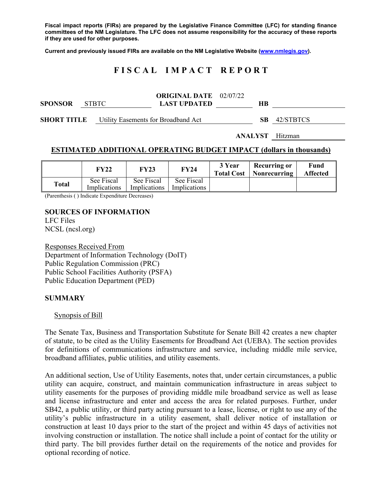**Fiscal impact reports (FIRs) are prepared by the Legislative Finance Committee (LFC) for standing finance committees of the NM Legislature. The LFC does not assume responsibility for the accuracy of these reports if they are used for other purposes.** 

**Current and previously issued FIRs are available on the NM Legislative Website (www.nmlegis.gov).** 

# **F I S C A L I M P A C T R E P O R T**

| <b>SPONSOR</b>     | STBTC | <b>ORIGINAL DATE</b> 02/07/22<br><b>LAST UPDATED</b> | НB |           |
|--------------------|-------|------------------------------------------------------|----|-----------|
| <b>SHORT TITLE</b> |       | Utility Easements for Broadband Act                  | SB | 42/STBTCS |

**ANALYST** Hitzman

# **ESTIMATED ADDITIONAL OPERATING BUDGET IMPACT (dollars in thousands)**

|              | FY22                       | <b>FY23</b>                | <b>FY24</b>                | 3 Year<br><b>Total Cost</b> | <b>Recurring or</b><br><b>Nonrecurring</b> | Fund<br><b>Affected</b> |
|--------------|----------------------------|----------------------------|----------------------------|-----------------------------|--------------------------------------------|-------------------------|
| <b>Total</b> | See Fiscal<br>Implications | See Fiscal<br>Implications | See Fiscal<br>Implications |                             |                                            |                         |

(Parenthesis ( ) Indicate Expenditure Decreases)

#### **SOURCES OF INFORMATION**

LFC Files NCSL (ncsl.org)

Responses Received From Department of Information Technology (DoIT) Public Regulation Commission (PRC) Public School Facilities Authority (PSFA) Public Education Department (PED)

#### **SUMMARY**

Synopsis of Bill

The Senate Tax, Business and Transportation Substitute for Senate Bill 42 creates a new chapter of statute, to be cited as the Utility Easements for Broadband Act (UEBA). The section provides for definitions of communications infrastructure and service, including middle mile service, broadband affiliates, public utilities, and utility easements.

An additional section, Use of Utility Easements, notes that, under certain circumstances, a public utility can acquire, construct, and maintain communication infrastructure in areas subject to utility easements for the purposes of providing middle mile broadband service as well as lease and license infrastructure and enter and access the area for related purposes. Further, under SB42, a public utility, or third party acting pursuant to a lease, license, or right to use any of the utility's public infrastructure in a utility easement, shall deliver notice of installation or construction at least 10 days prior to the start of the project and within 45 days of activities not involving construction or installation. The notice shall include a point of contact for the utility or third party. The bill provides further detail on the requirements of the notice and provides for optional recording of notice.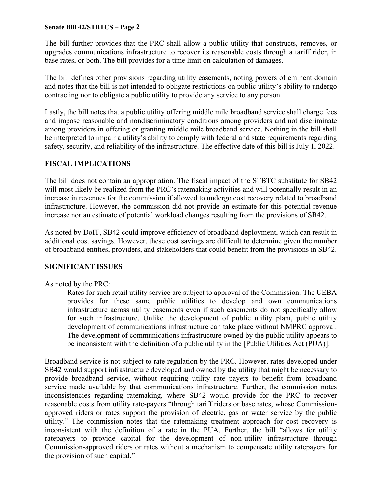#### **Senate Bill 42/STBTCS – Page 2**

The bill further provides that the PRC shall allow a public utility that constructs, removes, or upgrades communications infrastructure to recover its reasonable costs through a tariff rider, in base rates, or both. The bill provides for a time limit on calculation of damages.

The bill defines other provisions regarding utility easements, noting powers of eminent domain and notes that the bill is not intended to obligate restrictions on public utility's ability to undergo contracting nor to obligate a public utility to provide any service to any person.

Lastly, the bill notes that a public utility offering middle mile broadband service shall charge fees and impose reasonable and nondiscriminatory conditions among providers and not discriminate among providers in offering or granting middle mile broadband service. Nothing in the bill shall be interpreted to impair a utility's ability to comply with federal and state requirements regarding safety, security, and reliability of the infrastructure. The effective date of this bill is July 1, 2022.

#### **FISCAL IMPLICATIONS**

The bill does not contain an appropriation. The fiscal impact of the STBTC substitute for SB42 will most likely be realized from the PRC's ratemaking activities and will potentially result in an increase in revenues for the commission if allowed to undergo cost recovery related to broadband infrastructure. However, the commission did not provide an estimate for this potential revenue increase nor an estimate of potential workload changes resulting from the provisions of SB42.

As noted by DoIT, SB42 could improve efficiency of broadband deployment, which can result in additional cost savings. However, these cost savings are difficult to determine given the number of broadband entities, providers, and stakeholders that could benefit from the provisions in SB42.

## **SIGNIFICANT ISSUES**

#### As noted by the PRC:

Rates for such retail utility service are subject to approval of the Commission. The UEBA provides for these same public utilities to develop and own communications infrastructure across utility easements even if such easements do not specifically allow for such infrastructure. Unlike the development of public utility plant, public utility development of communications infrastructure can take place without NMPRC approval. The development of communications infrastructure owned by the public utility appears to be inconsistent with the definition of a public utility in the [Public Utilities Act (PUA)].

Broadband service is not subject to rate regulation by the PRC. However, rates developed under SB42 would support infrastructure developed and owned by the utility that might be necessary to provide broadband service, without requiring utility rate payers to benefit from broadband service made available by that communications infrastructure. Further, the commission notes inconsistencies regarding ratemaking, where SB42 would provide for the PRC to recover reasonable costs from utility rate-payers "through tariff riders or base rates, whose Commissionapproved riders or rates support the provision of electric, gas or water service by the public utility." The commission notes that the ratemaking treatment approach for cost recovery is inconsistent with the definition of a rate in the PUA. Further, the bill "allows for utility ratepayers to provide capital for the development of non-utility infrastructure through Commission-approved riders or rates without a mechanism to compensate utility ratepayers for the provision of such capital."